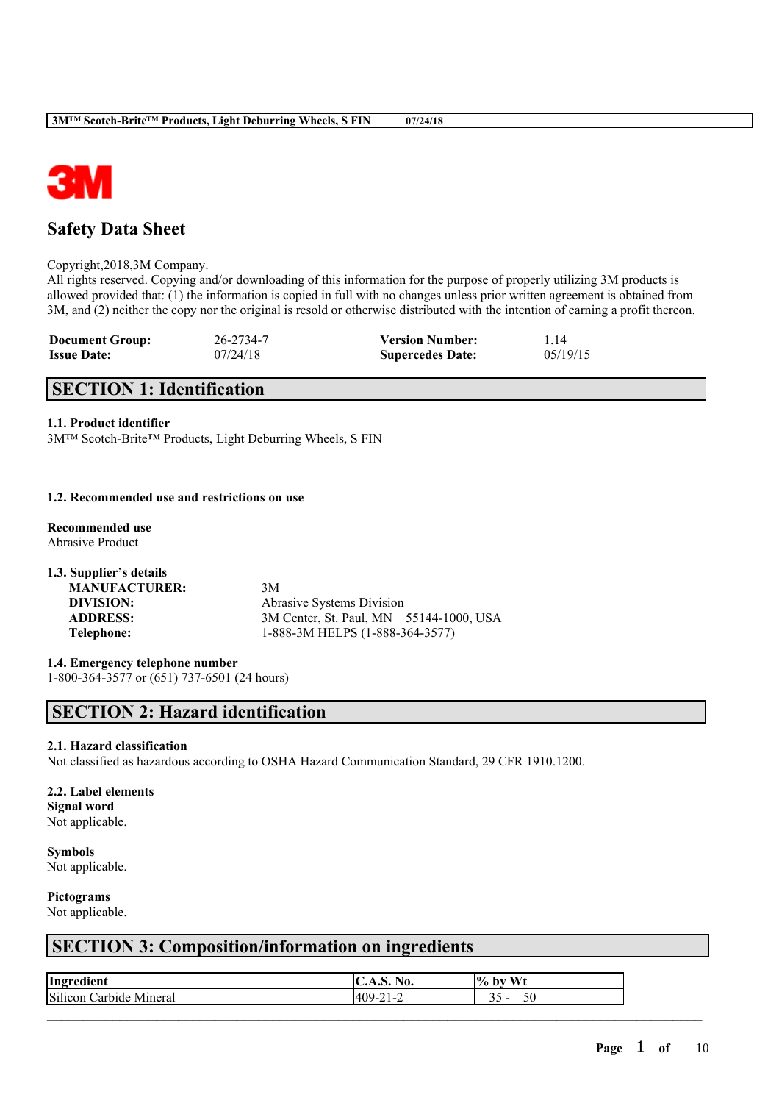



# **Safety Data Sheet**

Copyright,2018,3M Company.

All rights reserved. Copying and/or downloading of this information for the purpose of properly utilizing 3M products is allowed provided that: (1) the information is copied in full with no changes unless prior written agreement is obtained from 3M, and (2) neither the copy nor the original is resold or otherwise distributed with the intention of earning a profit thereon.

| <b>Document Group:</b> | 26-2734-7 | <b>Version Number:</b>  | 114      |
|------------------------|-----------|-------------------------|----------|
| <b>Issue Date:</b>     | 07/24/18  | <b>Supercedes Date:</b> | 05/19/15 |

# **SECTION 1: Identification**

# **1.1. Product identifier**

3M™ Scotch-Brite™ Products, Light Deburring Wheels, S FIN

### **1.2. Recommended use and restrictions on use**

**Recommended use** Abrasive Product

**1.3. Supplier's details MANUFACTURER:** 3M **DIVISION:** Abrasive Systems Division **ADDRESS:** 3M Center, St. Paul, MN 55144-1000, USA **Telephone:** 1-888-3M HELPS (1-888-364-3577)

**1.4. Emergency telephone number**

1-800-364-3577 or (651) 737-6501 (24 hours)

# **SECTION 2: Hazard identification**

# **2.1. Hazard classification**

Not classified as hazardous according to OSHA Hazard Communication Standard, 29 CFR 1910.1200.

# **2.2. Label elements**

**Signal word** Not applicable.

**Symbols** Not applicable.

# **Pictograms**

Not applicable.

# **SECTION 3: Composition/information on ingredients**

| Ingredient                   | ٩О.                       | $W_{t}$<br>$\frac{0}{0}$<br>hv<br>. . |
|------------------------------|---------------------------|---------------------------------------|
| Silicon<br>Minerai<br>arbide | $\sim$<br>۳υ.<br>4 L<br>- | υc<br>-<br>້.                         |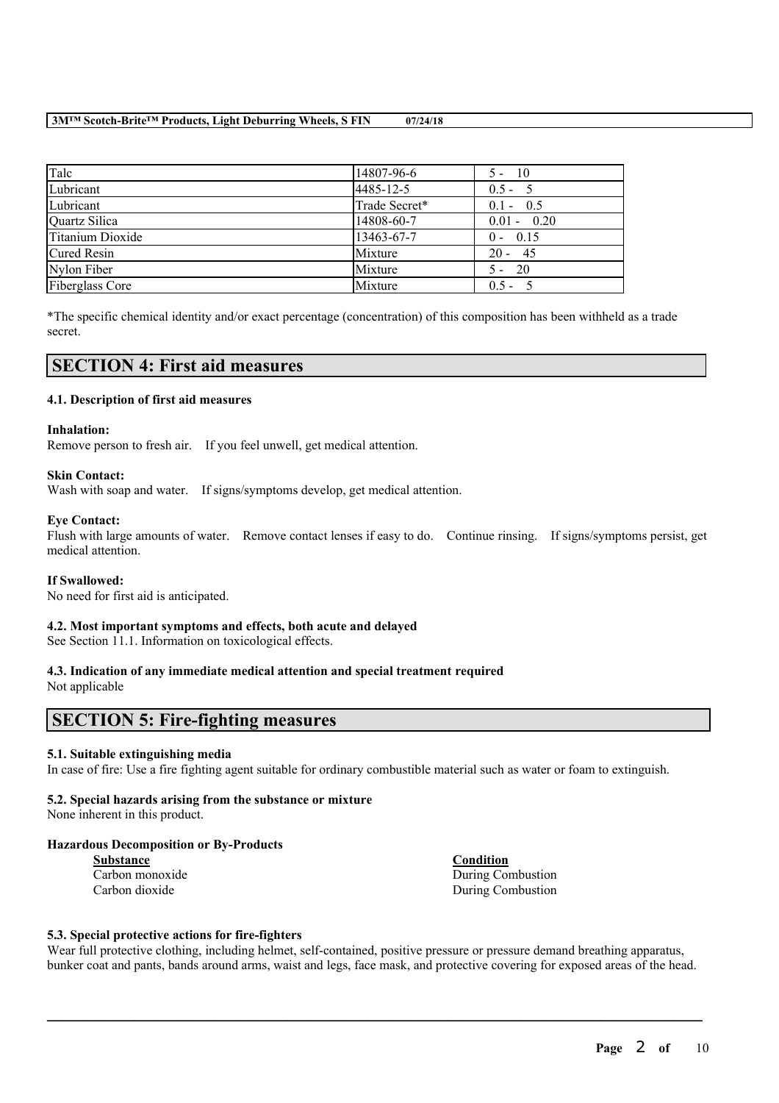# **3M™ Scotch-Brite™ Products, Light Deburring Wheels, S FIN 07/24/18**

| Talc             | 14807-96-6    | $5 - 10$      |
|------------------|---------------|---------------|
| Lubricant        | 4485-12-5     | $0.5 - 5$     |
| Lubricant        | Trade Secret* | $0.1 - 0.5$   |
| Quartz Silica    | 14808-60-7    | $0.01 - 0.20$ |
| Titanium Dioxide | 13463-67-7    | $0 - 0.15$    |
| Cured Resin      | Mixture       | $20 - 45$     |
| Nylon Fiber      | Mixture       | $5 - 20$      |
| Fiberglass Core  | Mixture       | $0.5 - 5$     |

\*The specific chemical identity and/or exact percentage (concentration) of this composition has been withheld as a trade secret.

# **SECTION 4: First aid measures**

# **4.1. Description of first aid measures**

### **Inhalation:**

Remove person to fresh air. If you feel unwell, get medical attention.

### **Skin Contact:**

Wash with soap and water. If signs/symptoms develop, get medical attention.

### **Eye Contact:**

Flush with large amounts of water. Remove contact lenses if easy to do. Continue rinsing. If signs/symptoms persist, get medical attention.

#### **If Swallowed:**

No need for first aid is anticipated.

# **4.2. Most important symptoms and effects, both acute and delayed**

See Section 11.1. Information on toxicological effects.

# **4.3. Indication of any immediate medical attention and special treatment required**

Not applicable

# **SECTION 5: Fire-fighting measures**

# **5.1. Suitable extinguishing media**

In case of fire: Use a fire fighting agent suitable for ordinary combustible material such as water or foam to extinguish.

# **5.2. Special hazards arising from the substance or mixture**

None inherent in this product.

# **Hazardous Decomposition or By-Products**

**Substance Condition**

Carbon monoxide During Combustion Carbon dioxide During Combustion

# **5.3. Special protective actions for fire-fighters**

Wear full protective clothing, including helmet, self-contained, positive pressure or pressure demand breathing apparatus, bunker coat and pants, bands around arms, waist and legs, face mask, and protective covering for exposed areas of the head.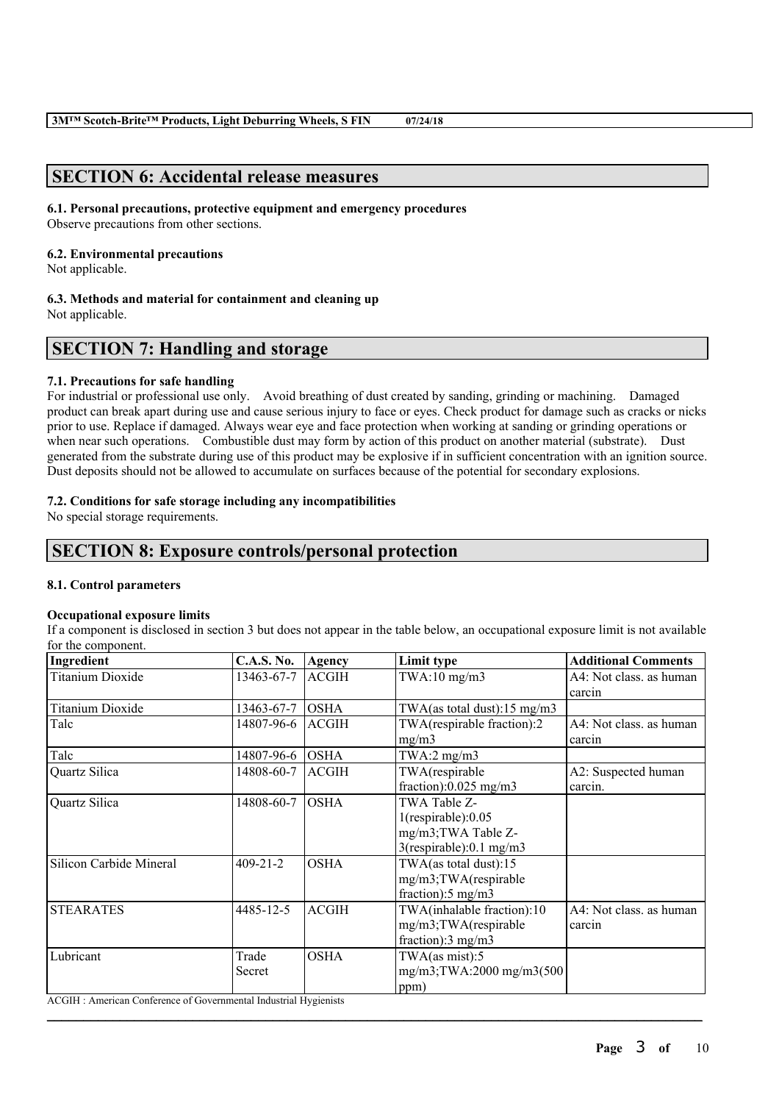# **SECTION 6: Accidental release measures**

# **6.1. Personal precautions, protective equipment and emergency procedures**

Observe precautions from other sections.

# **6.2. Environmental precautions**

Not applicable.

#### **6.3. Methods and material for containment and cleaning up** Not applicable.

# **SECTION 7: Handling and storage**

# **7.1. Precautions for safe handling**

For industrial or professional use only. Avoid breathing of dust created by sanding, grinding or machining. Damaged product can break apart during use and cause serious injury to face or eyes. Check product for damage such as cracks or nicks prior to use. Replace if damaged. Always wear eye and face protection when working at sanding or grinding operations or when near such operations. Combustible dust may form by action of this product on another material (substrate). Dust generated from the substrate during use of this product may be explosive if in sufficient concentration with an ignition source. Dust deposits should not be allowed to accumulate on surfaces because of the potential for secondary explosions.

# **7.2. Conditions for safe storage including any incompatibilities**

No special storage requirements.

# **SECTION 8: Exposure controls/personal protection**

# **8.1. Control parameters**

# **Occupational exposure limits**

If a component is disclosed in section 3 but does not appear in the table below, an occupational exposure limit is not available for the component.

| Ingredient                                                       | <b>C.A.S. No.</b> | <b>Agency</b> | Limit type                              | <b>Additional Comments</b> |
|------------------------------------------------------------------|-------------------|---------------|-----------------------------------------|----------------------------|
| <b>Titanium Dioxide</b>                                          | 13463-67-7        | <b>ACGIH</b>  | $TWA:10$ mg/m $3$                       | A4: Not class. as human    |
|                                                                  |                   |               |                                         | carcin                     |
| <b>Titanium Dioxide</b>                                          | 13463-67-7        | <b>OSHA</b>   | TWA(as total dust): $15 \text{ mg/m}$ 3 |                            |
| Talc                                                             | 14807-96-6        | <b>ACGIH</b>  | TWA(respirable fraction):2              | A4: Not class. as human    |
|                                                                  |                   | mg/m3         |                                         | carcin                     |
| Talc                                                             | 14807-96-6        | <b>OSHA</b>   | TWA:2 $mg/m3$                           |                            |
| Quartz Silica                                                    | 14808-60-7        | <b>ACGIH</b>  | TWA(respirable                          | A2: Suspected human        |
|                                                                  |                   |               | fraction):0.025 mg/m3                   | carcin.                    |
| Quartz Silica                                                    | 14808-60-7        | <b>OSHA</b>   | TWA Table Z-                            |                            |
|                                                                  |                   |               | $1$ (respirable): $0.05$                |                            |
|                                                                  |                   |               | mg/m3; TWA Table Z-                     |                            |
|                                                                  |                   |               | $3$ (respirable):0.1 mg/m $3$           |                            |
| Silicon Carbide Mineral                                          | $409 - 21 - 2$    | <b>OSHA</b>   | TWA(as total dust):15                   |                            |
|                                                                  |                   |               | mg/m3;TWA(respirable                    |                            |
|                                                                  |                   |               | fraction): $5 \text{ mg/m}$ 3           |                            |
| <b>STEARATES</b>                                                 | 4485-12-5         | <b>ACGIH</b>  | TWA(inhalable fraction):10              | A4: Not class. as human    |
|                                                                  |                   |               | mg/m3;TWA(respirable                    | carcin                     |
|                                                                  |                   |               | fraction): $3 \text{ mg/m}$             |                            |
| Lubricant                                                        | Trade             | <b>OSHA</b>   | TWA(as mist):5                          |                            |
|                                                                  | Secret            |               | mg/m3;TWA:2000 mg/m3(500                |                            |
|                                                                  |                   |               | ppm)                                    |                            |
| ACGIH: American Conference of Governmental Industrial Hygienists |                   |               |                                         |                            |

 $\mathcal{L}_\mathcal{L} = \mathcal{L}_\mathcal{L} = \mathcal{L}_\mathcal{L} = \mathcal{L}_\mathcal{L} = \mathcal{L}_\mathcal{L} = \mathcal{L}_\mathcal{L} = \mathcal{L}_\mathcal{L} = \mathcal{L}_\mathcal{L} = \mathcal{L}_\mathcal{L} = \mathcal{L}_\mathcal{L} = \mathcal{L}_\mathcal{L} = \mathcal{L}_\mathcal{L} = \mathcal{L}_\mathcal{L} = \mathcal{L}_\mathcal{L} = \mathcal{L}_\mathcal{L} = \mathcal{L}_\mathcal{L} = \mathcal{L}_\mathcal{L}$ 

**Page** 3 **of** 10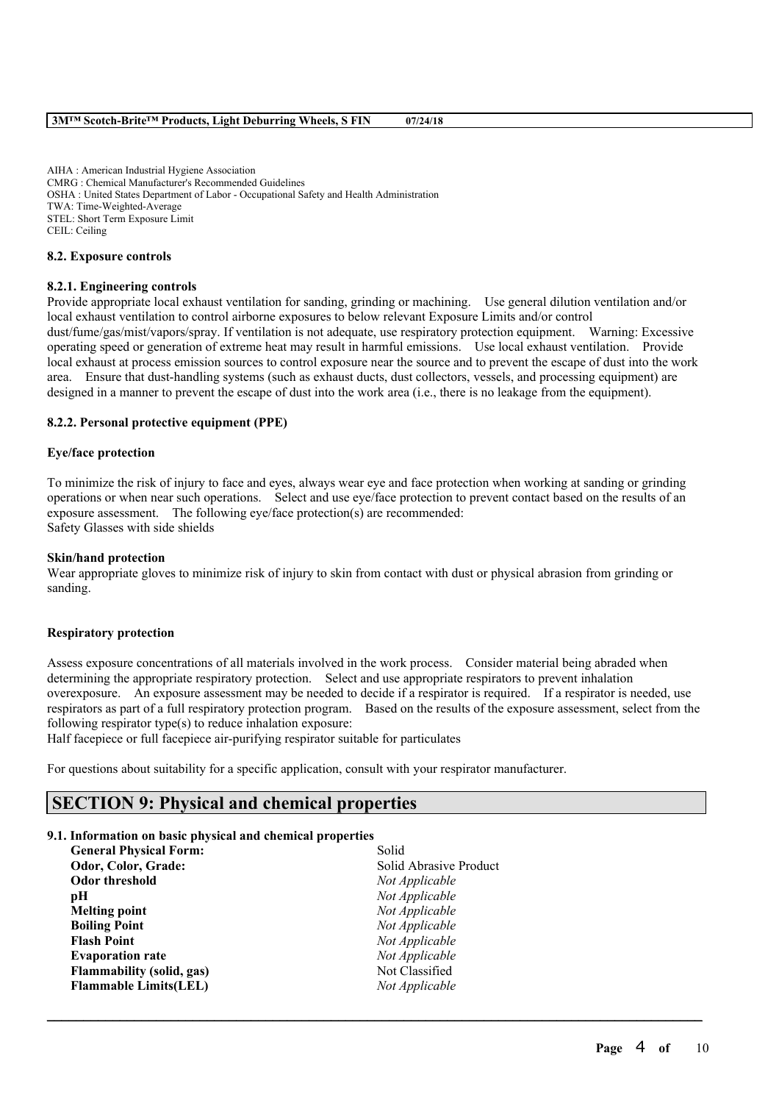AIHA : American Industrial Hygiene Association CMRG : Chemical Manufacturer's Recommended Guidelines OSHA : United States Department of Labor - Occupational Safety and Health Administration TWA: Time-Weighted-Average STEL: Short Term Exposure Limit CEIL: Ceiling

#### **8.2. Exposure controls**

#### **8.2.1. Engineering controls**

Provide appropriate local exhaust ventilation for sanding, grinding or machining. Use general dilution ventilation and/or local exhaust ventilation to control airborne exposures to below relevant Exposure Limits and/or control dust/fume/gas/mist/vapors/spray. If ventilation is not adequate, use respiratory protection equipment. Warning: Excessive operating speed or generation of extreme heat may result in harmful emissions. Use local exhaust ventilation. Provide local exhaust at process emission sources to control exposure near the source and to prevent the escape of dust into the work area. Ensure that dust-handling systems (such as exhaust ducts, dust collectors, vessels, and processing equipment) are designed in a manner to prevent the escape of dust into the work area (i.e., there is no leakage from the equipment).

### **8.2.2. Personal protective equipment (PPE)**

## **Eye/face protection**

To minimize the risk of injury to face and eyes, always wear eye and face protection when working at sanding or grinding operations or when near such operations. Select and use eye/face protection to prevent contact based on the results of an exposure assessment. The following eye/face protection(s) are recommended: Safety Glasses with side shields

#### **Skin/hand protection**

Wear appropriate gloves to minimize risk of injury to skin from contact with dust or physical abrasion from grinding or sanding.

#### **Respiratory protection**

Assess exposure concentrations of all materials involved in the work process. Consider material being abraded when determining the appropriate respiratory protection. Select and use appropriate respirators to prevent inhalation overexposure. An exposure assessment may be needed to decide if a respirator is required. If a respirator is needed, use respirators as part of a full respiratory protection program. Based on the results of the exposure assessment, select from the following respirator type(s) to reduce inhalation exposure:

 $\mathcal{L}_\mathcal{L} = \mathcal{L}_\mathcal{L} = \mathcal{L}_\mathcal{L} = \mathcal{L}_\mathcal{L} = \mathcal{L}_\mathcal{L} = \mathcal{L}_\mathcal{L} = \mathcal{L}_\mathcal{L} = \mathcal{L}_\mathcal{L} = \mathcal{L}_\mathcal{L} = \mathcal{L}_\mathcal{L} = \mathcal{L}_\mathcal{L} = \mathcal{L}_\mathcal{L} = \mathcal{L}_\mathcal{L} = \mathcal{L}_\mathcal{L} = \mathcal{L}_\mathcal{L} = \mathcal{L}_\mathcal{L} = \mathcal{L}_\mathcal{L}$ 

Half facepiece or full facepiece air-purifying respirator suitable for particulates

For questions about suitability for a specific application, consult with your respirator manufacturer.

# **SECTION 9: Physical and chemical properties**

#### **9.1. Information on basic physical and chemical properties**

| <b>General Physical Form:</b> | Solid                  |
|-------------------------------|------------------------|
| Odor, Color, Grade:           | Solid Abrasive Product |
| <b>Odor threshold</b>         | Not Applicable         |
| pН                            | Not Applicable         |
| <b>Melting point</b>          | Not Applicable         |
| <b>Boiling Point</b>          | Not Applicable         |
| <b>Flash Point</b>            | Not Applicable         |
| <b>Evaporation rate</b>       | Not Applicable         |
| Flammability (solid, gas)     | Not Classified         |
| <b>Flammable Limits(LEL)</b>  | Not Applicable         |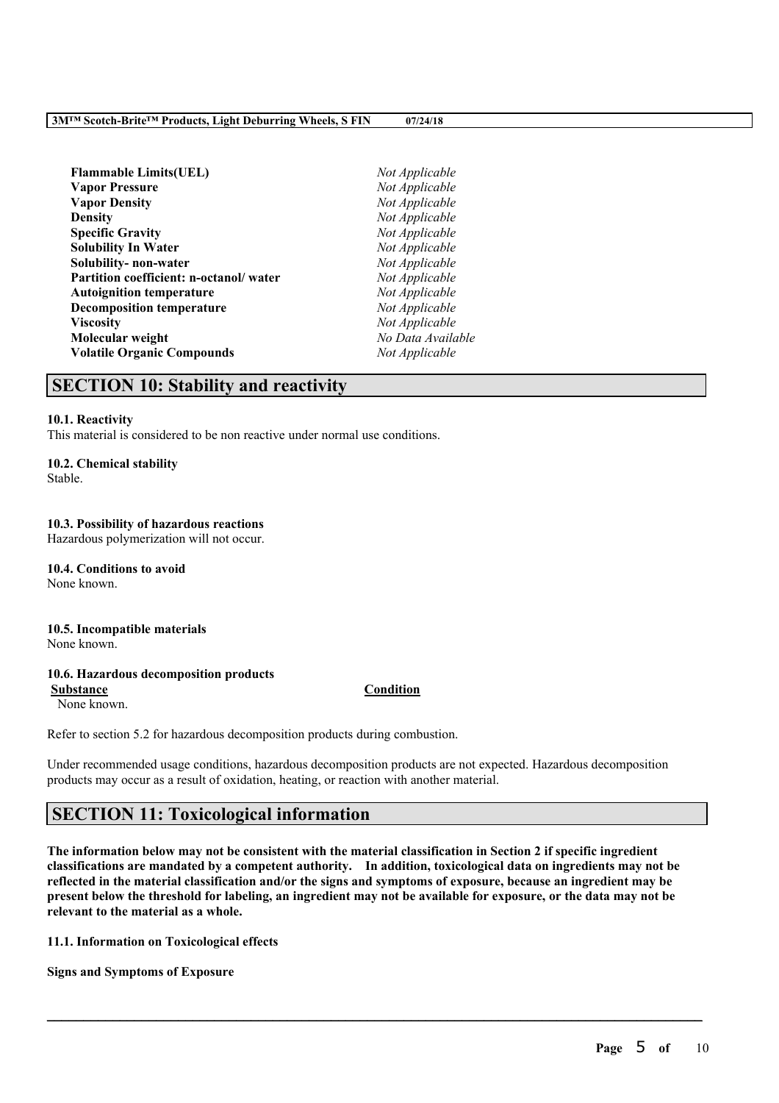| Not Applicable    |
|-------------------|
| Not Applicable    |
| Not Applicable    |
| Not Applicable    |
| Not Applicable    |
| Not Applicable    |
| Not Applicable    |
| Not Applicable    |
| Not Applicable    |
| Not Applicable    |
| Not Applicable    |
| No Data Available |
| Not Applicable    |
|                   |

# **SECTION 10: Stability and reactivity**

### **10.1. Reactivity**

This material is considered to be non reactive under normal use conditions.

### **10.2. Chemical stability**

Stable.

# **10.3. Possibility of hazardous reactions**

Hazardous polymerization will not occur.

**10.4. Conditions to avoid** None known.

# **10.5. Incompatible materials**

None known.

# **10.6. Hazardous decomposition products**

None known.

Refer to section 5.2 for hazardous decomposition products during combustion.

Under recommended usage conditions, hazardous decomposition products are not expected. Hazardous decomposition products may occur as a result of oxidation, heating, or reaction with another material.

# **SECTION 11: Toxicological information**

The information below may not be consistent with the material classification in Section 2 if specific ingredient **classifications are mandated by a competent authority. In addition, toxicological data on ingredients may not be** reflected in the material classification and/or the signs and symptoms of exposure, because an ingredient may be present below the threshold for labeling, an ingredient may not be available for exposure, or the data may not be **relevant to the material as a whole.**

 $\mathcal{L}_\mathcal{L} = \mathcal{L}_\mathcal{L} = \mathcal{L}_\mathcal{L} = \mathcal{L}_\mathcal{L} = \mathcal{L}_\mathcal{L} = \mathcal{L}_\mathcal{L} = \mathcal{L}_\mathcal{L} = \mathcal{L}_\mathcal{L} = \mathcal{L}_\mathcal{L} = \mathcal{L}_\mathcal{L} = \mathcal{L}_\mathcal{L} = \mathcal{L}_\mathcal{L} = \mathcal{L}_\mathcal{L} = \mathcal{L}_\mathcal{L} = \mathcal{L}_\mathcal{L} = \mathcal{L}_\mathcal{L} = \mathcal{L}_\mathcal{L}$ 

**11.1. Information on Toxicological effects**

**Signs and Symptoms of Exposure**

# **Substance Condition**

**Page** 5 **of** 10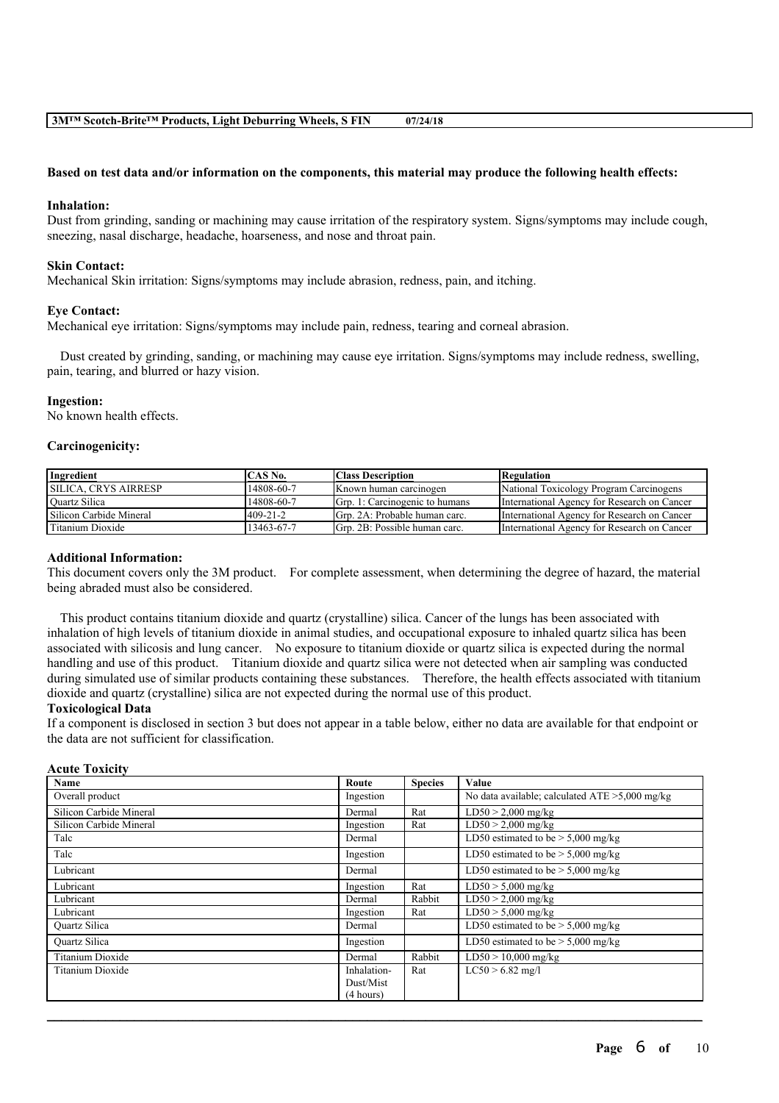#### Based on test data and/or information on the components, this material may produce the following health effects:

#### **Inhalation:**

Dust from grinding, sanding or machining may cause irritation of the respiratory system. Signs/symptoms may include cough, sneezing, nasal discharge, headache, hoarseness, and nose and throat pain.

#### **Skin Contact:**

Mechanical Skin irritation: Signs/symptoms may include abrasion, redness, pain, and itching.

#### **Eye Contact:**

Mechanical eye irritation: Signs/symptoms may include pain, redness, tearing and corneal abrasion.

Dust created by grinding, sanding, or machining may cause eye irritation. Signs/symptoms may include redness, swelling, pain, tearing, and blurred or hazy vision.

#### **Ingestion:**

No known health effects.

#### **Carcinogenicity:**

| Ingredient                  | CAS No.        | <b>Class Description</b>               | Regulation                                  |
|-----------------------------|----------------|----------------------------------------|---------------------------------------------|
| <b>SILICA. CRYS AIRRESP</b> | 14808-60-7     | Known human carcinogen                 | National Toxicology Program Carcinogens     |
| Quartz Silica               | 14808-60-7     | <b>IGrp. 1: Carcinogenic to humans</b> | International Agency for Research on Cancer |
| Silicon Carbide Mineral     | $409 - 21 - 2$ | Grp. 2A: Probable human carc.          | International Agency for Research on Cancer |
| Titanium Dioxide            | 13463-67-7     | Grp. 2B: Possible human carc.          | International Agency for Research on Cancer |

#### **Additional Information:**

This document covers only the 3M product. For complete assessment, when determining the degree of hazard, the material being abraded must also be considered.

This product contains titanium dioxide and quartz (crystalline) silica. Cancer of the lungs has been associated with inhalation of high levels of titanium dioxide in animal studies, and occupational exposure to inhaled quartz silica has been associated with silicosis and lung cancer. No exposure to titanium dioxide or quartz silica is expected during the normal handling and use of this product. Titanium dioxide and quartz silica were not detected when air sampling was conducted during simulated use of similar products containing these substances. Therefore, the health effects associated with titanium dioxide and quartz (crystalline) silica are not expected during the normal use of this product.

### **Toxicological Data**

If a component is disclosed in section 3 but does not appear in a table below, either no data are available for that endpoint or the data are not sufficient for classification.

### **Acute Toxicity**

| Name                    | Route       | <b>Species</b> | Value                                             |
|-------------------------|-------------|----------------|---------------------------------------------------|
| Overall product         | Ingestion   |                | No data available; calculated $ATE > 5,000$ mg/kg |
| Silicon Carbide Mineral | Dermal      | Rat            | $LD50 > 2,000$ mg/kg                              |
| Silicon Carbide Mineral | Ingestion   | Rat            | $LD50 > 2,000$ mg/kg                              |
| Talc                    | Dermal      |                | LD50 estimated to be $> 5,000$ mg/kg              |
| Talc                    | Ingestion   |                | LD50 estimated to be $> 5,000$ mg/kg              |
| Lubricant               | Dermal      |                | LD50 estimated to be $> 5,000$ mg/kg              |
| Lubricant               | Ingestion   | Rat            | $LD50 > 5,000$ mg/kg                              |
| Lubricant               | Dermal      | Rabbit         | $LD50 > 2,000$ mg/kg                              |
| Lubricant               | Ingestion   | Rat            | $LD50 > 5,000$ mg/kg                              |
| Quartz Silica           | Dermal      |                | LD50 estimated to be $>$ 5,000 mg/kg              |
| <b>Ouartz Silica</b>    | Ingestion   |                | LD50 estimated to be $> 5,000$ mg/kg              |
| <b>Titanium Dioxide</b> | Dermal      | Rabbit         | $LD50 > 10,000$ mg/kg                             |
| Titanium Dioxide        | Inhalation- | Rat            | $LC50 > 6.82$ mg/l                                |
|                         | Dust/Mist   |                |                                                   |
|                         | (4 hours)   |                |                                                   |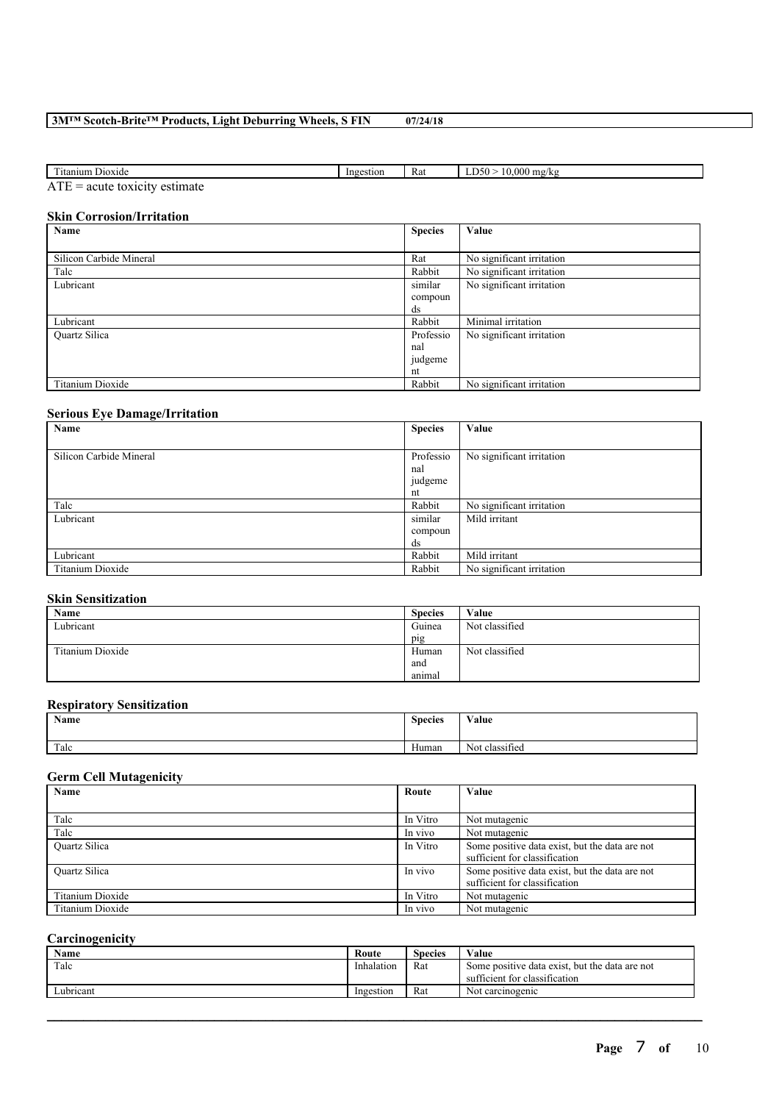# **3M™ Scotch-Brite™ Products, Light Deburring Wheels, S FIN 07/24/18**

| <b>CONTRACTOR</b><br>itanium<br>D <sub>10</sub> x <sub>1</sub> de | stion<br>Inges | Rat | $\Omega$<br>$\sim$<br>้ารเ.<br>mg/kg<br>. VVII.<br>$\mathbf{u}$ |
|-------------------------------------------------------------------|----------------|-----|-----------------------------------------------------------------|
| $-$                                                               |                |     |                                                                 |

ATE = acute toxicity estimate

# **Skin Corrosion/Irritation**

| Name                    | <b>Species</b> | Value                     |
|-------------------------|----------------|---------------------------|
|                         |                |                           |
| Silicon Carbide Mineral | Rat            | No significant irritation |
| Talc                    | Rabbit         | No significant irritation |
| Lubricant               | similar        | No significant irritation |
|                         | compoun        |                           |
|                         | ds             |                           |
| Lubricant               | Rabbit         | Minimal irritation        |
| <b>Ouartz Silica</b>    | Professio      | No significant irritation |
|                         | nal            |                           |
|                         | judgeme        |                           |
|                         | nt             |                           |
| Titanium Dioxide        | Rabbit         | No significant irritation |

# **Serious Eye Damage/Irritation**

| Name                    | <b>Species</b> | Value                     |
|-------------------------|----------------|---------------------------|
|                         |                |                           |
| Silicon Carbide Mineral | Professio      | No significant irritation |
|                         | nal            |                           |
|                         | judgeme        |                           |
|                         | nt             |                           |
| Talc                    | Rabbit         | No significant irritation |
| Lubricant               | similar        | Mild irritant             |
|                         | compoun        |                           |
|                         | ds             |                           |
| Lubricant               | Rabbit         | Mild irritant             |
| Titanium Dioxide        | Rabbit         | No significant irritation |

# **Skin Sensitization**

| Name             | <b>Species</b>   | Value          |
|------------------|------------------|----------------|
| Lubricant        | Guinea           | Not classified |
|                  | pig              |                |
| Titanium Dioxide | Human            | Not classified |
|                  | and              |                |
|                  | $\sim$<br>animal |                |

# **Respiratory Sensitization**

| Name | <b>Species</b><br>. | Value                    |
|------|---------------------|--------------------------|
| Talc | Human               | $\sim$<br>Not classified |

# **Germ Cell Mutagenicity**

| Name                 | Route    | Value                                                                           |
|----------------------|----------|---------------------------------------------------------------------------------|
|                      |          |                                                                                 |
| Talc                 | In Vitro | Not mutagenic                                                                   |
| Talc                 | In vivo  | Not mutagenic                                                                   |
| <b>Ouartz Silica</b> | In Vitro | Some positive data exist, but the data are not<br>sufficient for classification |
| <b>Ouartz Silica</b> | In vivo  | Some positive data exist, but the data are not<br>sufficient for classification |
| Titanium Dioxide     | In Vitro | Not mutagenic                                                                   |
| Titanium Dioxide     | In vivo  | Not mutagenic                                                                   |

# **Carcinogenicity**

| Name      | Route      | Species | Value                                                                           |
|-----------|------------|---------|---------------------------------------------------------------------------------|
| Talc      | Inhalation | Rat     | Some positive data exist, but the data are not<br>sufficient for classification |
| Lubricant | Ingestion  | Rat     | Not carcinogenic                                                                |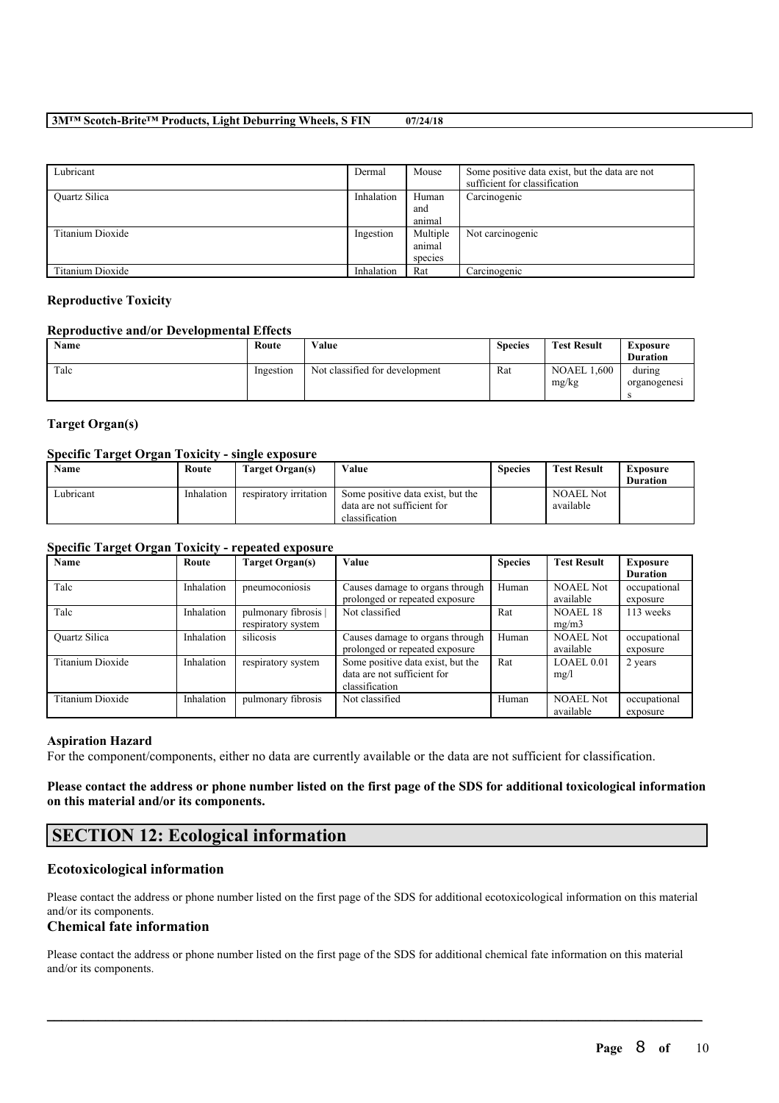## **3M™ Scotch-Brite™ Products, Light Deburring Wheels, S FIN 07/24/18**

| Lubricant        | Dermal     | Mouse    | Some positive data exist, but the data are not<br>sufficient for classification |
|------------------|------------|----------|---------------------------------------------------------------------------------|
| Quartz Silica    | Inhalation | Human    | Carcinogenic                                                                    |
|                  |            | and      |                                                                                 |
|                  |            | animal   |                                                                                 |
| Titanium Dioxide | Ingestion  | Multiple | Not carcinogenic                                                                |
|                  |            | animal   |                                                                                 |
|                  |            | species  |                                                                                 |
| Titanium Dioxide | Inhalation | Rat      | Carcinogenic                                                                    |

### **Reproductive Toxicity**

#### **Reproductive and/or Developmental Effects**

| Name | Route     | Value                          | <b>Species</b> | <b>Test Result</b>          | Exposure<br><b>Duration</b> |
|------|-----------|--------------------------------|----------------|-----------------------------|-----------------------------|
| Talc | Ingestion | Not classified for development | Rat            | <b>NOAEL 1.600</b><br>mg/kg | during<br>organogenesi      |

# **Target Organ(s)**

### **Specific Target Organ Toxicity - single exposure**

| Name      | Route      | Target Organ(s)        | Value                                                                              | <b>Species</b> | <b>Test Result</b>            | Exposure        |
|-----------|------------|------------------------|------------------------------------------------------------------------------------|----------------|-------------------------------|-----------------|
|           |            |                        |                                                                                    |                |                               | <b>Duration</b> |
| Lubricant | Inhalation | respiratory irritation | Some positive data exist, but the<br>data are not sufficient for<br>classification |                | <b>NOAEL Not</b><br>available |                 |

# **Specific Target Organ Toxicity - repeated exposure**

| Name                 | Route      | Target Organ(s)    | Value                                                             | <b>Species</b> | <b>Test Result</b>            | Exposure                 |
|----------------------|------------|--------------------|-------------------------------------------------------------------|----------------|-------------------------------|--------------------------|
|                      |            |                    |                                                                   |                |                               | <b>Duration</b>          |
| Talc                 | Inhalation | pneumoconiosis     | Causes damage to organs through<br>prolonged or repeated exposure | Human          | <b>NOAEL Not</b><br>available | occupational<br>exposure |
| Talc                 | Inhalation | pulmonary fibrosis | Not classified                                                    | Rat            | <b>NOAEL 18</b>               | 113 weeks                |
|                      |            | respiratory system |                                                                   |                | mg/m3                         |                          |
| <b>Ouartz Silica</b> | Inhalation | silicosis          | Causes damage to organs through                                   | Human          | <b>NOAEL Not</b>              | occupational             |
|                      |            |                    | prolonged or repeated exposure                                    |                | available                     | exposure                 |
| Titanium Dioxide     | Inhalation | respiratory system | Some positive data exist, but the                                 | Rat            | LOAEL 0.01                    | 2 years                  |
|                      |            |                    | data are not sufficient for                                       |                | mg/l                          |                          |
|                      |            |                    | classification                                                    |                |                               |                          |
| Titanium Dioxide     | Inhalation | pulmonary fibrosis | Not classified                                                    | Human          | <b>NOAEL Not</b>              | occupational             |
|                      |            |                    |                                                                   |                | available                     | exposure                 |

#### **Aspiration Hazard**

For the component/components, either no data are currently available or the data are not sufficient for classification.

Please contact the address or phone number listed on the first page of the SDS for additional toxicological information **on this material and/or its components.**

# **SECTION 12: Ecological information**

# **Ecotoxicological information**

Please contact the address or phone number listed on the first page of the SDS for additional ecotoxicological information on this material and/or its components.

# **Chemical fate information**

Please contact the address or phone number listed on the first page of the SDS for additional chemical fate information on this material and/or its components.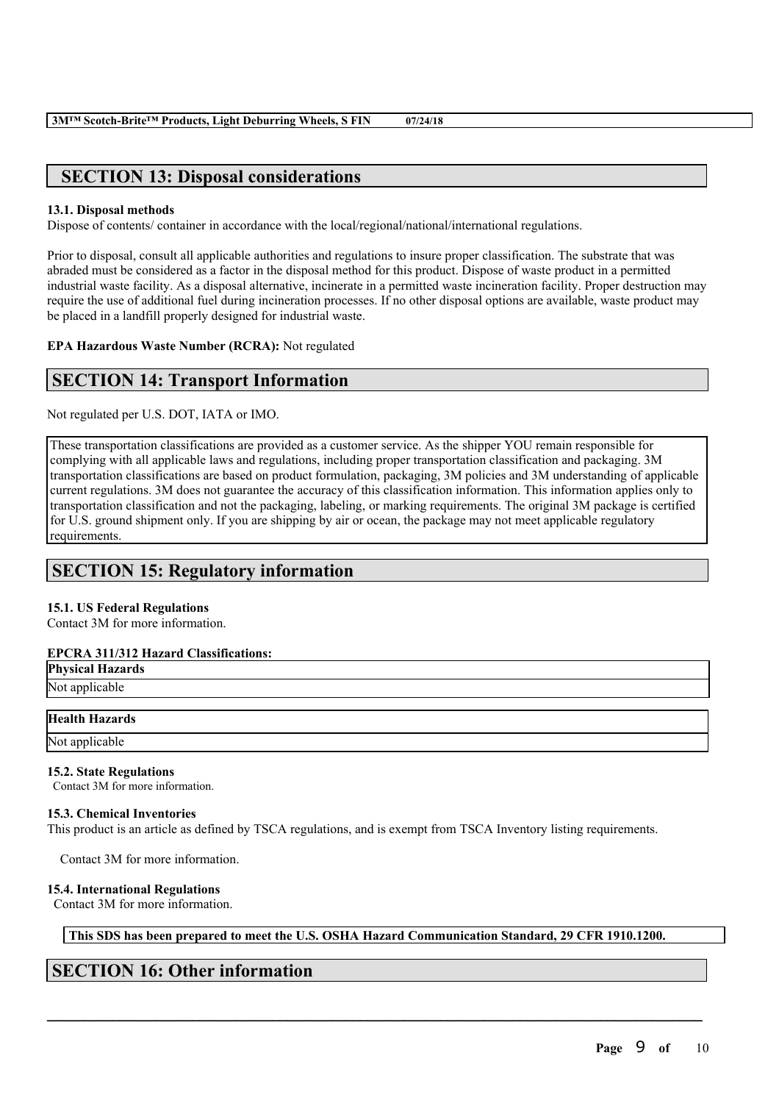# **SECTION 13: Disposal considerations**

# **13.1. Disposal methods**

Dispose of contents/ container in accordance with the local/regional/national/international regulations.

Prior to disposal, consult all applicable authorities and regulations to insure proper classification. The substrate that was abraded must be considered as a factor in the disposal method for this product. Dispose of waste product in a permitted industrial waste facility. As a disposal alternative, incinerate in a permitted waste incineration facility. Proper destruction may require the use of additional fuel during incineration processes. If no other disposal options are available, waste product may be placed in a landfill properly designed for industrial waste.

**EPA Hazardous Waste Number (RCRA):** Not regulated

# **SECTION 14: Transport Information**

Not regulated per U.S. DOT, IATA or IMO.

These transportation classifications are provided as a customer service. As the shipper YOU remain responsible for complying with all applicable laws and regulations, including proper transportation classification and packaging. 3M transportation classifications are based on product formulation, packaging, 3M policies and 3M understanding of applicable current regulations. 3M does not guarantee the accuracy of this classification information. This information applies only to transportation classification and not the packaging, labeling, or marking requirements. The original 3M package is certified for U.S. ground shipment only. If you are shipping by air or ocean, the package may not meet applicable regulatory requirements.

# **SECTION 15: Regulatory information**

# **15.1. US Federal Regulations**

Contact 3M for more information.

# **EPCRA 311/312 Hazard Classifications:**

**Physical Hazards** Not applicable

# **Health Hazards**

Not applicable

# **15.2. State Regulations**

Contact 3M for more information.

# **15.3. Chemical Inventories**

This product is an article as defined by TSCA regulations, and is exempt from TSCA Inventory listing requirements.

Contact 3M for more information.

# **15.4. International Regulations**

Contact 3M for more information.

**This SDS has been prepared to meet the U.S. OSHA Hazard Communication Standard, 29 CFR 1910.1200.**

 $\mathcal{L}_\mathcal{L} = \mathcal{L}_\mathcal{L} = \mathcal{L}_\mathcal{L} = \mathcal{L}_\mathcal{L} = \mathcal{L}_\mathcal{L} = \mathcal{L}_\mathcal{L} = \mathcal{L}_\mathcal{L} = \mathcal{L}_\mathcal{L} = \mathcal{L}_\mathcal{L} = \mathcal{L}_\mathcal{L} = \mathcal{L}_\mathcal{L} = \mathcal{L}_\mathcal{L} = \mathcal{L}_\mathcal{L} = \mathcal{L}_\mathcal{L} = \mathcal{L}_\mathcal{L} = \mathcal{L}_\mathcal{L} = \mathcal{L}_\mathcal{L}$ 

# **SECTION 16: Other information**